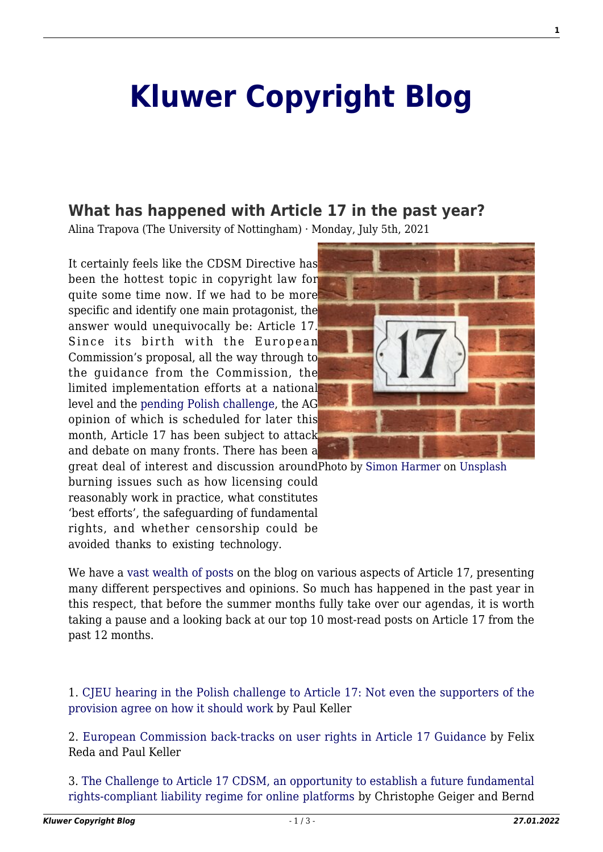## **[Kluwer Copyright Blog](http://copyrightblog.kluweriplaw.com/)**

## **[What has happened with Article 17 in the past year?](http://copyrightblog.kluweriplaw.com/2021/07/05/what-has-happened-with-article-17-in-the-past-year/)**

Alina Trapova (The University of Nottingham) · Monday, July 5th, 2021

It certainly feels like the CDSM Directive has been the hottest topic in copyright law for quite some time now. If we had to be more specific and identify one main protagonist, the answer would unequivocally be: Article 17. Since its birth with the European Commission's proposal, all the way through to the guidance from the Commission, the limited implementation efforts at a national level and the [pending Polish challenge](https://curia.europa.eu/juris/liste.jsf?language=en&num=C-401/19), the AG opinion of which is scheduled for later this month, Article 17 has been subject to attack and debate on many fronts. There has been a



great deal of interest and discussion aroundPhoto by [Simon Harmer](https://unsplash.com/@only1simonharmer?utm_source=unsplash&utm_medium=referral&utm_content=creditCopyText) on [Unsplash](https://unsplash.com/?utm_source=unsplash&utm_medium=referral&utm_content=creditCopyText) burning issues such as how licensing could reasonably work in practice, what constitutes 'best efforts', the safeguarding of fundamental rights, and whether censorship could be avoided thanks to existing technology.

We have a [vast wealth of posts](http://copyrightblog.kluweriplaw.com/?s=article+17) on the blog on various aspects of Article 17, presenting many different perspectives and opinions. So much has happened in the past year in this respect, that before the summer months fully take over our agendas, it is worth taking a pause and a looking back at our top 10 most-read posts on Article 17 from the past 12 months.

1. [CJEU hearing in the Polish challenge to Article 17: Not even the supporters of the](http://copyrightblog.kluweriplaw.com/2020/11/11/cjeu-hearing-in-the-polish-challenge-to-article-17-not-even-the-supporters-of-the-provision-agree-on-how-it-should-work/) [provision agree on how it should work](http://copyrightblog.kluweriplaw.com/2020/11/11/cjeu-hearing-in-the-polish-challenge-to-article-17-not-even-the-supporters-of-the-provision-agree-on-how-it-should-work/) by Paul Keller

2. [European Commission back-tracks on user rights in Article 17 Guidance](http://copyrightblog.kluweriplaw.com/2021/06/04/european-commission-back-tracks-on-user-rights-in-article-17-guidance/) by Felix Reda and Paul Keller

3. [The Challenge to Article 17 CDSM, an opportunity to establish a future fundamental](http://copyrightblog.kluweriplaw.com/2021/02/11/the-challenge-to-article-17-cdsm-an-opportunity-to-establish-a-future-fundamental-rights-compliant-liability-regime-for-online-platforms/) [rights-compliant liability regime for online platforms](http://copyrightblog.kluweriplaw.com/2021/02/11/the-challenge-to-article-17-cdsm-an-opportunity-to-establish-a-future-fundamental-rights-compliant-liability-regime-for-online-platforms/) by Christophe Geiger and Bernd **1**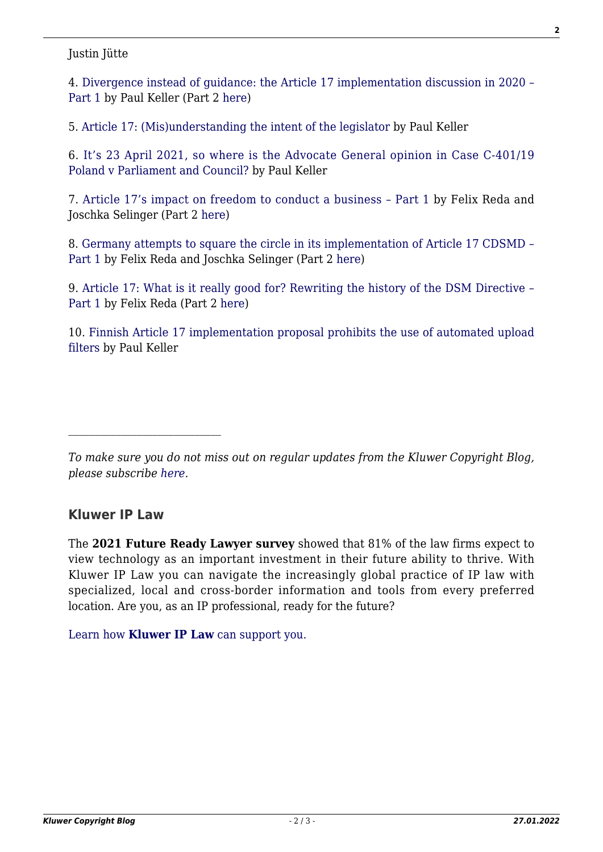## Justin Jütte

4. [Divergence instead of guidance: the Article 17 implementation discussion in 2020 –](http://copyrightblog.kluweriplaw.com/2021/01/21/divergence-instead-of-guidance-the-article-17-implementation-discussion-in-2020-part-1/) [Part 1](http://copyrightblog.kluweriplaw.com/2021/01/21/divergence-instead-of-guidance-the-article-17-implementation-discussion-in-2020-part-1/) by Paul Keller (Part 2 [here\)](http://copyrightblog.kluweriplaw.com/2021/01/22/divergence-instead-of-guidance-the-article-17-implementation-discussion-in-2020-part-2/)

5. [Article 17: \(Mis\)understanding the intent of the legislator](http://copyrightblog.kluweriplaw.com/2021/01/28/article-17-misunderstanding-the-intent-of-the-legislator/) by Paul Keller

6. [It's 23 April 2021, so where is the Advocate General opinion in Case C-401/19](http://copyrightblog.kluweriplaw.com/2021/04/23/its-23-april-2021-so-where-is-the-advocate-general-opinion-in-case-c-401-19-poland-v-parliament-and-council/) [Poland v Parliament and Council?](http://copyrightblog.kluweriplaw.com/2021/04/23/its-23-april-2021-so-where-is-the-advocate-general-opinion-in-case-c-401-19-poland-v-parliament-and-council/) by Paul Keller

7. [Article 17's impact on freedom to conduct a business – Part 1](http://copyrightblog.kluweriplaw.com/2021/01/18/article-17s-impact-on-freedom-to-conduct-a-business-part-1/) by Felix Reda and Joschka Selinger (Part 2 [here\)](http://copyrightblog.kluweriplaw.com/2021/01/19/article-17s-impact-on-freedom-to-conduct-a-business-part-2/)

8. [Germany attempts to square the circle in its implementation of Article 17 CDSMD –](http://copyrightblog.kluweriplaw.com/2021/06/02/germany-attempts-to-square-the-circle-in-its-implementation-of-article-17-cdsmd-part-1/) [Part 1](http://copyrightblog.kluweriplaw.com/2021/06/02/germany-attempts-to-square-the-circle-in-its-implementation-of-article-17-cdsmd-part-1/) by Felix Reda and Joschka Selinger (Part 2 [here](http://copyrightblog.kluweriplaw.com/2021/06/03/germany-attempts-to-square-the-circle-in-its-implementation-of-article-17-cdsmd-part-2/))

9. [Article 17: What is it really good for? Rewriting the history of the DSM Directive –](http://copyrightblog.kluweriplaw.com/2020/09/28/article-17-what-is-it-really-good-for-rewriting-the-history-of-the-dsm-directive-part-1/) [Part 1](http://copyrightblog.kluweriplaw.com/2020/09/28/article-17-what-is-it-really-good-for-rewriting-the-history-of-the-dsm-directive-part-1/) by Felix Reda (Part 2 [here\)](http://copyrightblog.kluweriplaw.com/2020/09/29/article-17-what-is-it-really-good-for-rewriting-the-history-of-the-dsm-directive-part-2/)

10. [Finnish Article 17 implementation proposal prohibits the use of automated upload](http://copyrightblog.kluweriplaw.com/2020/12/23/finnish-article-17-implementation-proposal-prohibits-the-use-of-automated-upload-filters/) [filters](http://copyrightblog.kluweriplaw.com/2020/12/23/finnish-article-17-implementation-proposal-prohibits-the-use-of-automated-upload-filters/) by Paul Keller

*To make sure you do not miss out on regular updates from the Kluwer Copyright Blog, please subscribe [here.](http://copyrightblog.kluweriplaw.com/newsletter)*

## **Kluwer IP Law**

The **2021 Future Ready Lawyer survey** showed that 81% of the law firms expect to view technology as an important investment in their future ability to thrive. With Kluwer IP Law you can navigate the increasingly global practice of IP law with specialized, local and cross-border information and tools from every preferred location. Are you, as an IP professional, ready for the future?

[Learn how](https://www.wolterskluwer.com/en/solutions/kluweriplaw?utm_source=copyrightnblog&utm_medium=articleCTA&utm_campaign=article-banner) **[Kluwer IP Law](https://www.wolterskluwer.com/en/solutions/kluweriplaw?utm_source=copyrightnblog&utm_medium=articleCTA&utm_campaign=article-banner)** [can support you.](https://www.wolterskluwer.com/en/solutions/kluweriplaw?utm_source=copyrightnblog&utm_medium=articleCTA&utm_campaign=article-banner)